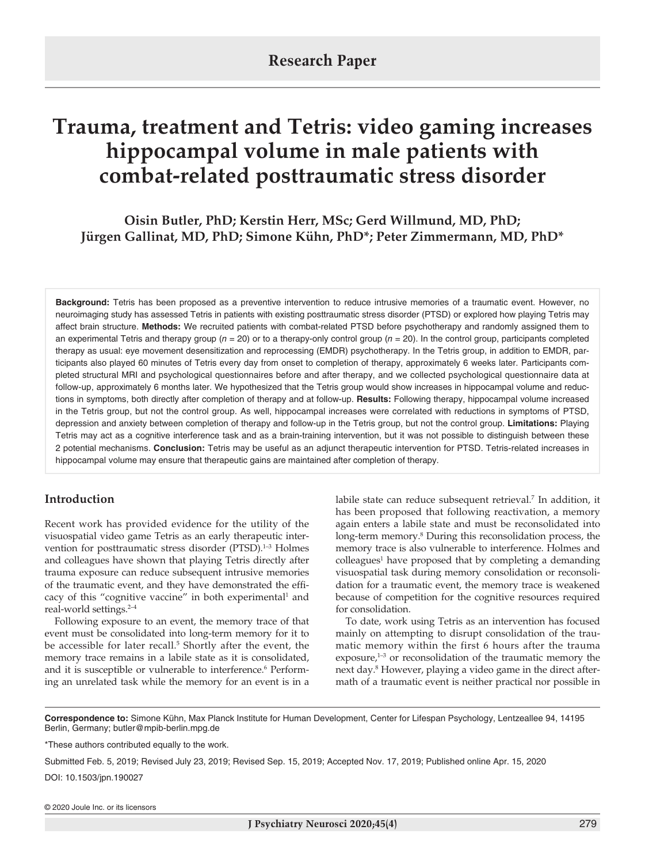# **Trauma, treatment and Tetris: video gaming increases hippocampal volume in male patients with combat-related posttraumatic stress disorder**

**Oisin Butler, PhD; Kerstin Herr, MSc; Gerd Willmund, MD, PhD; Jürgen Gallinat, MD, PhD; Simone Kühn, PhD\*; Peter Zimmermann, MD, PhD\*** 

**Background:** Tetris has been proposed as a preventive intervention to reduce intrusive memories of a traumatic event. However, no neuroimaging study has assessed Tetris in patients with existing posttraumatic stress disorder (PTSD) or explored how playing Tetris may affect brain structure. **Methods:** We recruited patients with combat-related PTSD before psychotherapy and randomly assigned them to an experimental Tetris and therapy group (*n* = 20) or to a therapy-only control group (*n* = 20). In the control group, participants completed therapy as usual: eye movement desensitization and reprocessing (EMDR) psychotherapy. In the Tetris group, in addition to EMDR, participants also played 60 minutes of Tetris every day from onset to completion of therapy, approximately 6 weeks later. Participants completed structural MRI and psychological questionnaires before and after therapy, and we collected psychological questionnaire data at follow-up, approximately 6 months later. We hypothesized that the Tetris group would show increases in hippocampal volume and reductions in symptoms, both directly after completion of therapy and at follow-up. **Results:** Following therapy, hippocampal volume increased in the Tetris group, but not the control group. As well, hippocampal increases were correlated with reductions in symptoms of PTSD, depression and anxiety between completion of therapy and follow-up in the Tetris group, but not the control group. **Limitations:** Playing Tetris may act as a cognitive interference task and as a brain-training intervention, but it was not possible to distinguish between these 2 potential mechanisms. **Conclusion:** Tetris may be useful as an adjunct therapeutic intervention for PTSD. Tetris-related increases in hippocampal volume may ensure that therapeutic gains are maintained after completion of therapy.

# **Introduction**

Recent work has provided evidence for the utility of the visuospatial video game Tetris as an early therapeutic intervention for posttraumatic stress disorder (PTSD).<sup>1-3</sup> Holmes and colleagues have shown that playing Tetris directly after trauma exposure can reduce subsequent intrusive memories of the traumatic event, and they have demonstrated the efficacy of this "cognitive vaccine" in both experimental<sup>1</sup> and real-world settings.2–4

Following exposure to an event, the memory trace of that event must be consolidated into long-term memory for it to be accessible for later recall.<sup>5</sup> Shortly after the event, the memory trace remains in a labile state as it is consolidated, and it is susceptible or vulnerable to interference.<sup>6</sup> Performing an unrelated task while the memory for an event is in a

labile state can reduce subsequent retrieval.<sup>7</sup> In addition, it has been proposed that following reactivation, a memory again enters a labile state and must be reconsolidated into long-term memory.<sup>8</sup> During this reconsolidation process, the memory trace is also vulnerable to interference. Holmes and colleagues<sup>1</sup> have proposed that by completing a demanding visuospatial task during memory consolidation or reconsolidation for a traumatic event, the memory trace is weakened because of competition for the cognitive resources required for consolidation.

To date, work using Tetris as an intervention has focused mainly on attempting to disrupt consolidation of the traumatic memory within the first 6 hours after the trauma  $exposure<sub>1</sub><sup>1-3</sup>$  or reconsolidation of the traumatic memory the next day.8 However, playing a video game in the direct aftermath of a traumatic event is neither practical nor possible in

**Correspondence to:** Simone Kühn, Max Planck Institute for Human Development, Center for Lifespan Psychology, Lentzeallee 94, 14195 Berlin, Germany; butler@mpib-berlin.mpg.de

\*These authors contributed equally to the work.

Submitted Feb. 5, 2019; Revised July 23, 2019; Revised Sep. 15, 2019; Accepted Nov. 17, 2019; Published online Apr. 15, 2020

DOI: 10.1503/jpn.190027

© 2020 Joule Inc. or its licensors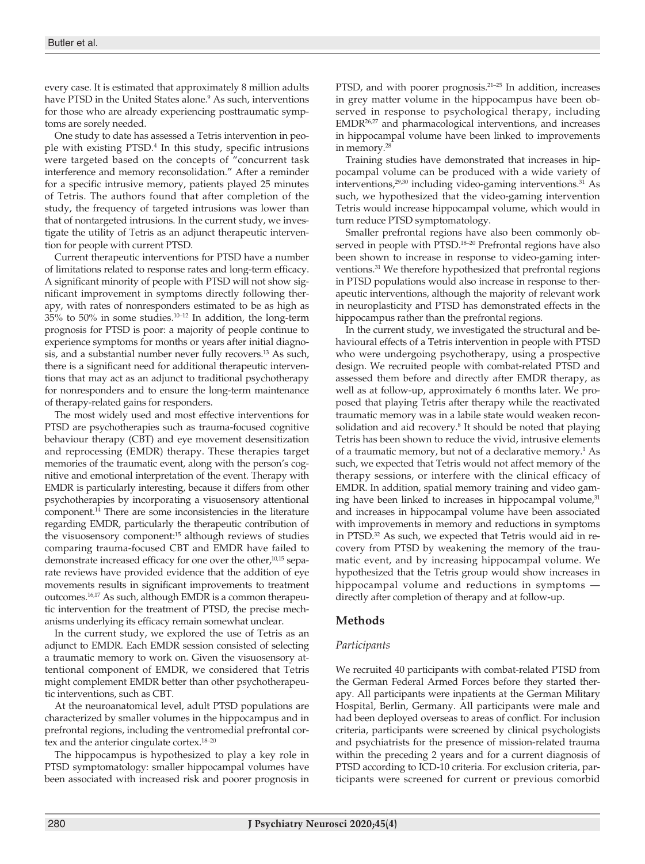every case. It is estimated that approximately 8 million adults have PTSD in the United States alone.<sup>9</sup> As such, interventions for those who are already experiencing posttraumatic symptoms are sorely needed.

One study to date has assessed a Tetris intervention in people with existing PTSD.4 In this study, specific intrusions were targeted based on the concepts of "concurrent task interference and memory reconsolidation." After a reminder for a specific intrusive memory, patients played 25 minutes of Tetris. The authors found that after completion of the study, the frequency of targeted intrusions was lower than that of nontargeted intrusions. In the current study, we investigate the utility of Tetris as an adjunct therapeutic intervention for people with current PTSD.

Current therapeutic interventions for PTSD have a number of limitations related to response rates and long-term efficacy. A significant minority of people with PTSD will not show significant improvement in symptoms directly following therapy, with rates of nonresponders estimated to be as high as 35% to 50% in some studies.10–12 In addition, the long-term prognosis for PTSD is poor: a majority of people continue to experience symptoms for months or years after initial diagnosis, and a substantial number never fully recovers.13 As such, there is a significant need for additional therapeutic interventions that may act as an adjunct to traditional psychotherapy for nonresponders and to ensure the long-term maintenance of therapy-related gains for responders.

The most widely used and most effective interventions for PTSD are psychotherapies such as trauma-focused cognitive behaviour therapy (CBT) and eye movement desensitization and reprocessing (EMDR) therapy. These therapies target memories of the traumatic event, along with the person's cognitive and emotional interpretation of the event. Therapy with EMDR is particularly interesting, because it differs from other psychotherapies by incorporating a visuosensory attentional component.14 There are some inconsistencies in the literature regarding EMDR, particularly the therapeutic contribution of the visuosensory component:15 although reviews of studies comparing trauma-focused CBT and EMDR have failed to demonstrate increased efficacy for one over the other,<sup>10,15</sup> separate reviews have provided evidence that the addition of eye movements results in significant improvements to treatment outcomes.16,17 As such, although EMDR is a common therapeutic intervention for the treatment of PTSD, the precise mechanisms underlying its efficacy remain somewhat unclear.

In the current study, we explored the use of Tetris as an adjunct to EMDR. Each EMDR session consisted of selecting a traumatic memory to work on. Given the visuosensory attentional component of EMDR, we considered that Tetris might complement EMDR better than other psychotherapeutic interventions, such as CBT.

At the neuroanatomical level, adult PTSD populations are characterized by smaller volumes in the hippocampus and in prefrontal regions, including the ventromedial prefrontal cortex and the anterior cingulate cortex.<sup>18-20</sup>

The hippocampus is hypothesized to play a key role in PTSD symptomatology: smaller hippocampal volumes have been associated with increased risk and poorer prognosis in

PTSD, and with poorer prognosis.<sup>21-25</sup> In addition, increases in grey matter volume in the hippocampus have been observed in response to psychological therapy, including EMDR26,27 and pharmacological interventions, and increases in hippocampal volume have been linked to improvements in memory.28

Training studies have demonstrated that increases in hippocampal volume can be produced with a wide variety of interventions,<sup>29,30</sup> including video-gaming interventions.<sup>31</sup> As such, we hypothesized that the video-gaming intervention Tetris would increase hippocampal volume, which would in turn reduce PTSD symptomatology.

Smaller prefrontal regions have also been commonly observed in people with PTSD.<sup>18-20</sup> Prefrontal regions have also been shown to increase in response to video-gaming interventions.31 We therefore hypothesized that prefrontal regions in PTSD populations would also increase in response to therapeutic interventions, although the majority of relevant work in neuroplasticity and PTSD has demonstrated effects in the hippocampus rather than the prefrontal regions.

In the current study, we investigated the structural and behavioural effects of a Tetris intervention in people with PTSD who were undergoing psychotherapy, using a prospective design. We recruited people with combat-related PTSD and assessed them before and directly after EMDR therapy, as well as at follow-up, approximately 6 months later. We proposed that playing Tetris after therapy while the reactivated traumatic memory was in a labile state would weaken reconsolidation and aid recovery.<sup>8</sup> It should be noted that playing Tetris has been shown to reduce the vivid, intrusive elements of a traumatic memory, but not of a declarative memory.<sup>1</sup> As such, we expected that Tetris would not affect memory of the therapy sessions, or interfere with the clinical efficacy of EMDR. In addition, spatial memory training and video gaming have been linked to increases in hippocampal volume,<sup>31</sup> and increases in hippocampal volume have been associated with improvements in memory and reductions in symptoms in PTSD.32 As such, we expected that Tetris would aid in recovery from PTSD by weakening the memory of the traumatic event, and by increasing hippocampal volume. We hypothesized that the Tetris group would show increases in hippocampal volume and reductions in symptoms directly after completion of therapy and at follow-up.

# **Methods**

## *Participants*

We recruited 40 participants with combat-related PTSD from the German Federal Armed Forces before they started therapy. All participants were inpatients at the German Military Hospital, Berlin, Germany. All participants were male and had been deployed overseas to areas of conflict. For inclusion criteria, participants were screened by clinical psychologists and psychiatrists for the presence of mission-related trauma within the preceding 2 years and for a current diagnosis of PTSD according to ICD-10 criteria. For exclusion criteria, participants were screened for current or previous comorbid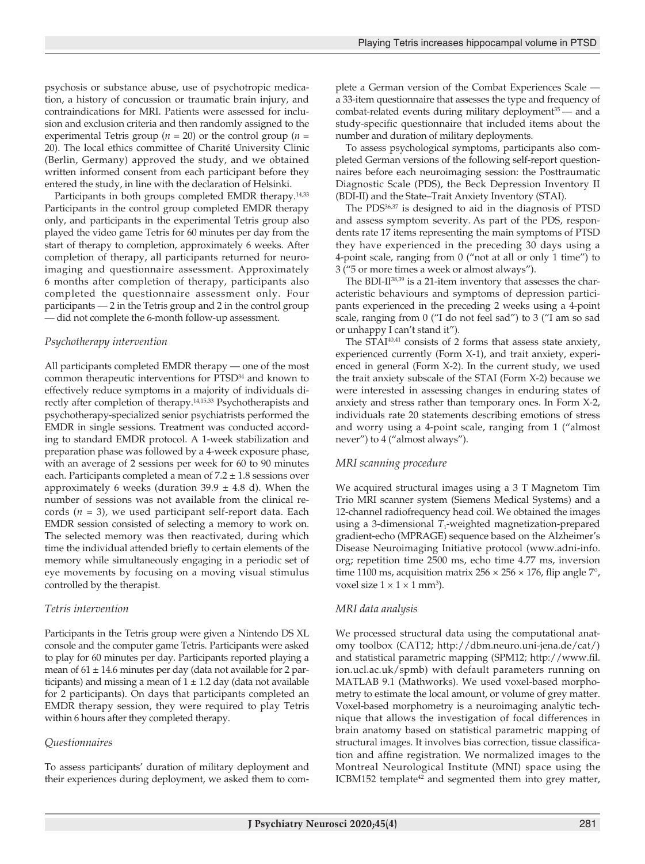psychosis or substance abuse, use of psychotropic medication, a history of concussion or traumatic brain injury, and contraindications for MRI. Patients were assessed for inclusion and exclusion criteria and then randomly assigned to the experimental Tetris group ( $n = 20$ ) or the control group ( $n =$ 20). The local ethics committee of Charité University Clinic (Berlin, Germany) approved the study, and we obtained written informed consent from each participant before they entered the study, in line with the declaration of Helsinki.

Participants in both groups completed EMDR therapy.<sup>14,33</sup> Participants in the control group completed EMDR therapy only, and participants in the experimental Tetris group also played the video game Tetris for 60 minutes per day from the start of therapy to completion, approximately 6 weeks. After completion of therapy, all participants returned for neuroimaging and questionnaire assessment. Approximately 6 months after completion of therapy, participants also completed the questionnaire assessment only. Four participants — 2 in the Tetris group and 2 in the control group — did not complete the 6-month follow-up assessment.

#### *Psychotherapy intervention*

All participants completed EMDR therapy — one of the most common therapeutic interventions for PTSD<sup>34</sup> and known to effectively reduce symptoms in a majority of individuals directly after completion of therapy.14,15,33 Psychotherapists and psychotherapy-specialized senior psychiatrists performed the EMDR in single sessions. Treatment was conducted according to standard EMDR protocol. A 1-week stabilization and preparation phase was followed by a 4-week exposure phase, with an average of 2 sessions per week for 60 to 90 minutes each. Participants completed a mean of  $7.2 \pm 1.8$  sessions over approximately 6 weeks (duration  $39.9 \pm 4.8$  d). When the number of sessions was not available from the clinical records (*n* = 3), we used participant self-report data. Each EMDR session consisted of selecting a memory to work on. The selected memory was then reactivated, during which time the individual attended briefly to certain elements of the memory while simultaneously engaging in a periodic set of eye movements by focusing on a moving visual stimulus controlled by the therapist.

#### *Tetris intervention*

Participants in the Tetris group were given a Nintendo DS XL console and the computer game Tetris. Participants were asked to play for 60 minutes per day. Participants reported playing a mean of  $61 \pm 14.6$  minutes per day (data not available for 2 participants) and missing a mean of  $1 \pm 1.2$  day (data not available for 2 participants). On days that participants completed an EMDR therapy session, they were required to play Tetris within 6 hours after they completed therapy.

## *Questionnaires*

To assess participants' duration of military deployment and their experiences during deployment, we asked them to complete a German version of the Combat Experiences Scale a 33-item questionnaire that assesses the type and frequency of combat-related events during military deployment<sup>35</sup> — and a study-specific questionnaire that included items about the number and duration of military deployments.

To assess psychological symptoms, participants also completed German versions of the following self-report questionnaires before each neuroimaging session: the Posttraumatic Diagnostic Scale (PDS), the Beck Depression Inventory II (BDI-II) and the State–Trait Anxiety Inventory (STAI).

The PDS<sup>36,37</sup> is designed to aid in the diagnosis of PTSD and assess symptom severity. As part of the PDS, respondents rate 17 items representing the main symptoms of PTSD they have experienced in the preceding 30 days using a 4-point scale, ranging from 0 ("not at all or only 1 time") to 3 ("5 or more times a week or almost always").

The BDI-II<sup>38,39</sup> is a 21-item inventory that assesses the characteristic behaviours and symptoms of depression participants experienced in the preceding 2 weeks using a 4-point scale, ranging from 0 ("I do not feel sad") to 3 ("I am so sad or unhappy I can't stand it").

The  $STAI<sup>40,41</sup>$  consists of 2 forms that assess state anxiety, experienced currently (Form X-1), and trait anxiety, experienced in general (Form X-2). In the current study, we used the trait anxiety subscale of the STAI (Form X-2) because we were interested in assessing changes in enduring states of anxiety and stress rather than temporary ones. In Form X-2, individuals rate 20 statements describing emotions of stress and worry using a 4-point scale, ranging from 1 ("almost never") to 4 ("almost always").

## *MRI scanning procedure*

We acquired structural images using a 3 T Magnetom Tim Trio MRI scanner system (Siemens Medical Systems) and a 12-channel radiofrequency head coil. We obtained the images using a 3-dimensional *T*<sub>1</sub>-weighted magnetization-prepared gradient-echo (MPRAGE) sequence based on the Alzheimer's Disease Neuroimaging Initiative protocol (www.adni-info. org; repetition time 2500 ms, echo time 4.77 ms, inversion time 1100 ms, acquisition matrix  $256 \times 256 \times 176$ , flip angle  $7^{\circ}$ , voxel size  $1 \times 1 \times 1$  mm<sup>3</sup>).

## *MRI data analysis*

We processed structural data using the computational anatomy toolbox (CAT12; http://dbm.neuro.uni-jena.de/cat/) and statistical parametric mapping (SPM12; http://www.fil. ion.ucl.ac.uk/spmb) with default parameters running on MATLAB 9.1 (Mathworks). We used voxel-based morphometry to estimate the local amount, or volume of grey matter. Voxel-based morphometry is a neuroimaging analytic technique that allows the investigation of focal differences in brain anatomy based on statistical parametric mapping of structural images. It involves bias correction, tissue classification and affine registration. We normalized images to the Montreal Neurological Institute (MNI) space using the ICBM152 template<sup>42</sup> and segmented them into grey matter,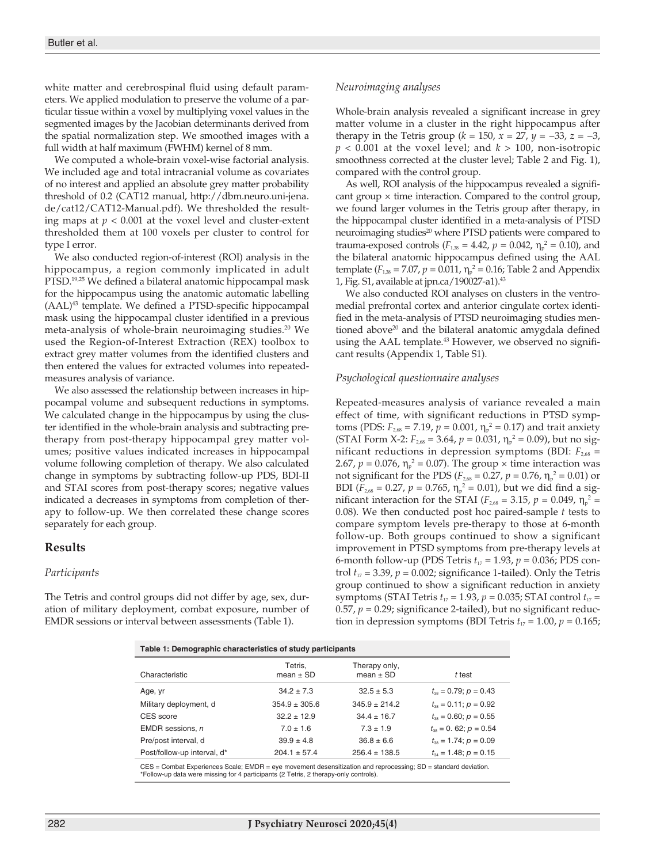white matter and cerebrospinal fluid using default parameters. We applied modulation to preserve the volume of a particular tissue within a voxel by multiplying voxel values in the segmented images by the Jacobian determinants derived from the spatial normalization step. We smoothed images with a full width at half maximum (FWHM) kernel of 8 mm.

We computed a whole-brain voxel-wise factorial analysis. We included age and total intracranial volume as covariates of no interest and applied an absolute grey matter probability threshold of 0.2 (CAT12 manual, http://dbm.neuro.uni-jena. de/cat12/CAT12-Manual.pdf). We thresholded the resulting maps at  $p < 0.001$  at the voxel level and cluster-extent thresholded them at 100 voxels per cluster to control for type I error.

We also conducted region-of-interest (ROI) analysis in the hippocampus, a region commonly implicated in adult PTSD.<sup>19,25</sup> We defined a bilateral anatomic hippocampal mask for the hippocampus using the anatomic automatic labelling (AAL)43 template. We defined a PTSD-specific hippocampal mask using the hippocampal cluster identified in a previous meta-analysis of whole-brain neuroimaging studies.20 We used the Region-of-Interest Extraction (REX) toolbox to extract grey matter volumes from the identified clusters and then entered the values for extracted volumes into repeatedmeasures analysis of variance.

We also assessed the relationship between increases in hippocampal volume and subsequent reductions in symptoms. We calculated change in the hippocampus by using the cluster identified in the whole-brain analysis and subtracting pretherapy from post-therapy hippocampal grey matter volumes; positive values indicated increases in hippocampal volume following completion of therapy. We also calculated change in symptoms by subtracting follow-up PDS, BDI-II and STAI scores from post-therapy scores; negative values indicated a decreases in symptoms from completion of therapy to follow-up. We then correlated these change scores separately for each group.

## **Results**

#### *Participants*

The Tetris and control groups did not differ by age, sex, duration of military deployment, combat exposure, number of EMDR sessions or interval between assessments (Table 1).

#### *Neuroimaging analyses*

Whole-brain analysis revealed a significant increase in grey matter volume in a cluster in the right hippocampus after therapy in the Tetris group ( $k = 150$ ,  $x = 27$ ,  $y = -33$ ,  $z = -3$ ,  $p < 0.001$  at the voxel level; and  $k > 100$ , non-isotropic smoothness corrected at the cluster level; Table 2 and Fig. 1), compared with the control group.

As well, ROI analysis of the hippocampus revealed a significant group  $\times$  time interaction. Compared to the control group, we found larger volumes in the Tetris group after therapy, in the hippocampal cluster identified in a meta-analysis of PTSD neuroimaging studies<sup>20</sup> where PTSD patients were compared to trauma-exposed controls ( $F_{1,38} = 4.42$ ,  $p = 0.042$ ,  $\eta_p^2 = 0.10$ ), and the bilateral anatomic hippocampus defined using the AAL template ( $F_{1,38} = 7.07$ ,  $p = 0.011$ ,  $\eta_p^2 = 0.16$ ; Table 2 and Appendix 1, Fig. S1, available at jpn.ca/190027-a1).43

We also conducted ROI analyses on clusters in the ventromedial prefrontal cortex and anterior cingulate cortex identified in the meta-analysis of PTSD neuroimaging studies mentioned above<sup>20</sup> and the bilateral anatomic amygdala defined using the AAL template.<sup>43</sup> However, we observed no significant results (Appendix 1, Table S1).

#### *Psychological questionnaire analyses*

Repeated-measures analysis of variance revealed a main effect of time, with significant reductions in PTSD symptoms (PDS:  $F_{2,68} = 7.19$ ,  $p = 0.001$ ,  $\eta_p^2 = 0.17$ ) and trait anxiety (STAI Form X-2:  $F_{2,68} = 3.64$ ,  $p = 0.031$ ,  $\eta_p^2 = 0.09$ ), but no significant reductions in depression symptoms (BDI:  $F_{2.68}$  = 2.67,  $p = 0.076$ ,  $\eta_p^2 = 0.07$ ). The group  $\times$  time interaction was not significant for the PDS ( $F_{2,68} = 0.27$ ,  $p = 0.76$ ,  $\eta_{p}^2 = 0.01$ ) or BDI ( $F_{2,68} = 0.27$ ,  $p = 0.765$ ,  $\eta_p^2 = 0.01$ ), but we did find a significant interaction for the STAI ( $F_{2,68} = 3.15$ ,  $p = 0.049$ ,  $\eta_{p}^2 =$ 0.08). We then conducted post hoc paired-sample *t* tests to compare symptom levels pre-therapy to those at 6-month follow-up. Both groups continued to show a significant improvement in PTSD symptoms from pre-therapy levels at 6-month follow-up (PDS Tetris  $t_{17} = 1.93$ ,  $p = 0.036$ ; PDS control  $t_{17} = 3.39$ ,  $p = 0.002$ ; significance 1-tailed). Only the Tetris group continued to show a significant reduction in anxiety symptoms (STAI Tetris  $t_{17} = 1.93$ ,  $p = 0.035$ ; STAI control  $t_{17} =$ 0.57,  $p = 0.29$ ; significance 2-tailed), but no significant reduction in depression symptoms (BDI Tetris  $t_{17} = 1.00$ ,  $p = 0.165$ ;

| Table 1: Demographic characteristics of study participants |                          |                                |                                  |  |  |  |  |  |
|------------------------------------------------------------|--------------------------|--------------------------------|----------------------------------|--|--|--|--|--|
| Characteristic                                             | Tetris.<br>mean $\pm$ SD | Therapy only,<br>mean $\pm$ SD | t test                           |  |  |  |  |  |
| Age, yr                                                    | $34.2 \pm 7.3$           | $32.5 \pm 5.3$                 | $t_{\infty} = 0.79$ ; $p = 0.43$ |  |  |  |  |  |
| Military deployment, d                                     | $354.9 \pm 305.6$        | $345.9 \pm 214.2$              | $t_{\infty}$ = 0.11; $p = 0.92$  |  |  |  |  |  |
| CES score                                                  | $32.2 \pm 12.9$          | $34.4 \pm 16.7$                | $t_{\infty} = 0.60$ ; $p = 0.55$ |  |  |  |  |  |
| EMDR sessions, n                                           | $7.0 \pm 1.6$            | $7.3 \pm 1.9$                  | $t_{\infty} = 0.62$ ; $p = 0.54$ |  |  |  |  |  |
| Pre/post interval, d                                       | $39.9 \pm 4.8$           | $36.8 \pm 6.6$                 | $t_{\infty}$ = 1.74; $p = 0.09$  |  |  |  |  |  |
| Post/follow-up interval, d*                                | $204.1 \pm 57.4$         | $256.4 \pm 138.5$              | $t_{34} = 1.48$ ; $p = 0.15$     |  |  |  |  |  |
|                                                            |                          |                                |                                  |  |  |  |  |  |

CES = Combat Experiences Scale; EMDR = eye movement desensitization and reprocessing; SD = standard deviation. \*Follow-up data were missing for 4 participants (2 Tetris, 2 therapy-only controls).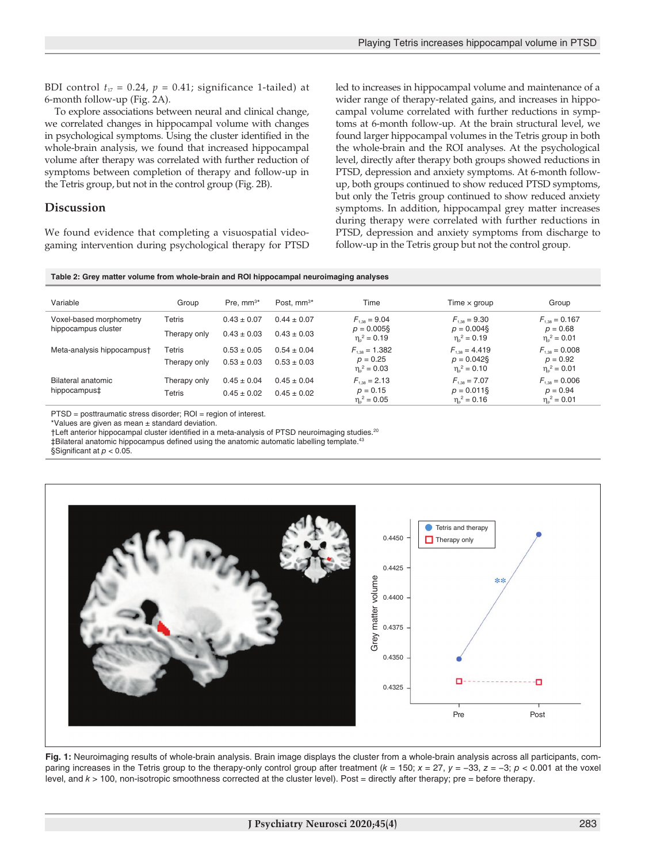BDI control  $t_{17} = 0.24$ ,  $p = 0.41$ ; significance 1-tailed) at 6-month follow-up (Fig. 2A).

To explore associations between neural and clinical change, we correlated changes in hippocampal volume with changes in psychological symptoms. Using the cluster identified in the whole-brain analysis, we found that increased hippocampal volume after therapy was correlated with further reduction of symptoms between completion of therapy and follow-up in the Tetris group, but not in the control group (Fig. 2B).

# **Discussion**

We found evidence that completing a visuospatial videogaming intervention during psychological therapy for PTSD led to increases in hippocampal volume and maintenance of a wider range of therapy-related gains, and increases in hippocampal volume correlated with further reductions in symptoms at 6-month follow-up. At the brain structural level, we found larger hippocampal volumes in the Tetris group in both the whole-brain and the ROI analyses. At the psychological level, directly after therapy both groups showed reductions in PTSD, depression and anxiety symptoms. At 6-month followup, both groups continued to show reduced PTSD symptoms, but only the Tetris group continued to show reduced anxiety symptoms. In addition, hippocampal grey matter increases during therapy were correlated with further reductions in PTSD, depression and anxiety symptoms from discharge to follow-up in the Tetris group but not the control group.

|  | Table 2: Grey matter volume from whole-brain and ROI hippocampal neuroimaging analyses |  |  |  |
|--|----------------------------------------------------------------------------------------|--|--|--|
|--|----------------------------------------------------------------------------------------|--|--|--|

| Variable                                       | Group         | Pre. $mm^{3*}$  | Post. $mm^{3*}$ | Time                                     | Time $\times$ group                      | Group                                 |
|------------------------------------------------|---------------|-----------------|-----------------|------------------------------------------|------------------------------------------|---------------------------------------|
| Voxel-based morphometry<br>hippocampus cluster | <b>Tetris</b> | $0.43 \pm 0.07$ | $0.44 \pm 0.07$ | $F_{1.38} = 9.04$                        | $F_{1.38} = 9.30$                        | $F_{1.38} = 0.167$                    |
|                                                | Therapy only  | $0.43 \pm 0.03$ | $0.43 \pm 0.03$ | $p = 0.005$ §<br>$\eta_{\circ}^2 = 0.19$ | $p = 0.004$ §<br>$\eta_{0}^{2} = 0.19$   | $p = 0.68$<br>$\eta_{\rm e}^2 = 0.01$ |
| Meta-analysis hippocampus†                     | <b>Tetris</b> | $0.53 \pm 0.05$ | $0.54 \pm 0.04$ | $F_{\text{1,38}} = 1.382$                | $F_{1.38} = 4.419$                       | $F_{1.38} = 0.008$                    |
|                                                | Therapy only  | $0.53 \pm 0.03$ | $0.53 \pm 0.03$ | $p = 0.25$<br>$\eta_{0}^{2} = 0.03$      | $p = 0.042$ §<br>$\eta_{0}^{2} = 0.10$   | $p = 0.92$<br>$\eta_{0}^{2} = 0.01$   |
| Bilateral anatomic<br>hippocampus‡             | Therapy only  | $0.45 \pm 0.04$ | $0.45 \pm 0.04$ | $F_{1.38} = 2.13$                        | $F_{1.98} = 7.07$                        | $F_{\text{1.98}} = 0.006$             |
|                                                | Tetris        | $0.45 \pm 0.02$ | $0.45 \pm 0.02$ | $p = 0.15$<br>$\eta_{\circ}^2 = 0.05$    | $p = 0.011$ §<br>$\eta_{\rm o}^2 = 0.16$ | $p = 0.94$<br>$\eta_{0}^{2} = 0.01$   |

PTSD = posttraumatic stress disorder; ROI = region of interest.

\*Values are given as mean ± standard deviation.

†Left anterior hippocampal cluster identified in a meta-analysis of PTSD neuroimaging studies.20

‡Bilateral anatomic hippocampus defined using the anatomic automatic labelling template.43

§Significant at *p* < 0.05.



**Fig. 1:** Neuroimaging results of whole-brain analysis. Brain image displays the cluster from a whole-brain analysis across all participants, comparing increases in the Tetris group to the therapy-only control group after treatment (*k* = 150; *x* = 27, *y* = −33, *z* = −3; *p* < 0.001 at the voxel level, and  $k > 100$ , non-isotropic smoothness corrected at the cluster level). Post = directly after therapy; pre = before therapy.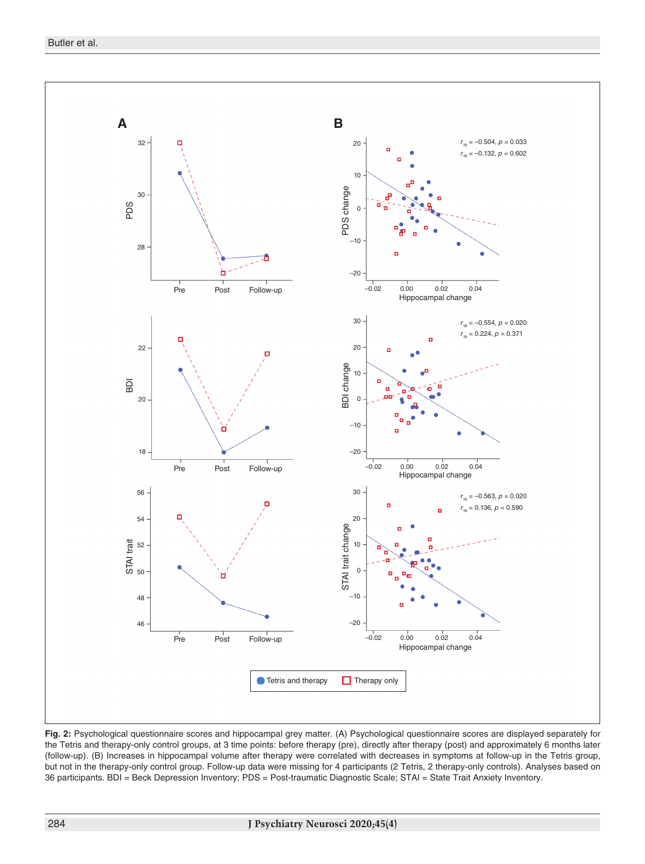

**Fig. 2:** Psychological questionnaire scores and hippocampal grey matter. (A) Psychological questionnaire scores are displayed separately for the Tetris and therapy-only control groups, at 3 time points: before therapy (pre), directly after therapy (post) and approximately 6 months later (follow-up). (B) Increases in hippocampal volume after therapy were correlated with decreases in symptoms at follow-up in the Tetris group, but not in the therapy-only control group. Follow-up data were missing for 4 participants (2 Tetris, 2 therapy-only controls). Analyses based on 36 participants. BDI = Beck Depression Inventory; PDS = Post-traumatic Diagnostic Scale; STAI = State Trait Anxiety Inventory.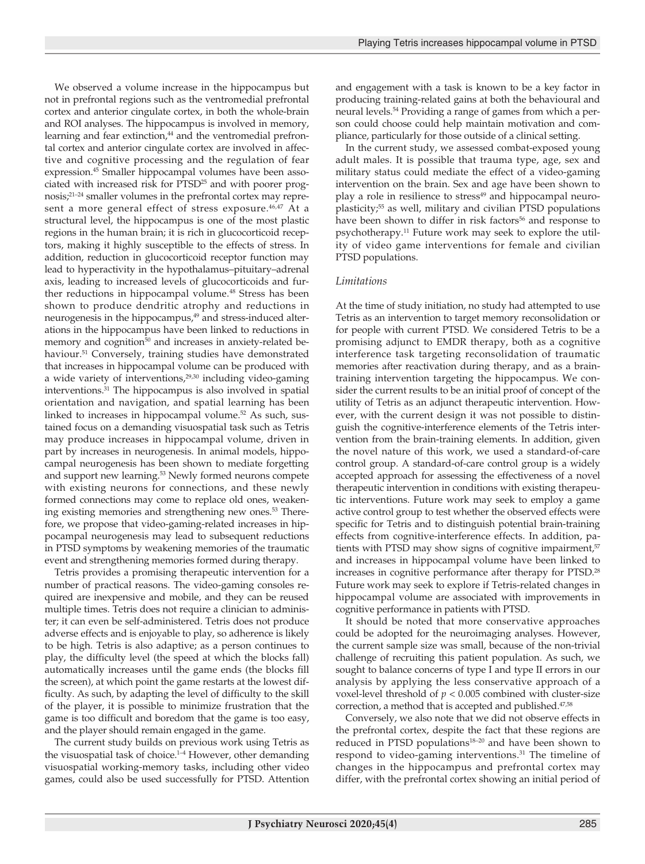We observed a volume increase in the hippocampus but not in prefrontal regions such as the ventromedial prefrontal cortex and anterior cingulate cortex, in both the whole-brain and ROI analyses. The hippocampus is involved in memory, learning and fear extinction,<sup>44</sup> and the ventromedial prefrontal cortex and anterior cingulate cortex are involved in affective and cognitive processing and the regulation of fear expression.45 Smaller hippocampal volumes have been associated with increased risk for PTSD<sup>25</sup> and with poorer prognosis;21–24 smaller volumes in the prefrontal cortex may represent a more general effect of stress exposure.<sup>46,47</sup> At a structural level, the hippocampus is one of the most plastic regions in the human brain; it is rich in glucocorticoid receptors, making it highly susceptible to the effects of stress. In addition, reduction in glucocorticoid receptor function may lead to hyperactivity in the hypothalamus–pituitary–adrenal axis, leading to increased levels of glucocorticoids and further reductions in hippocampal volume.<sup>48</sup> Stress has been shown to produce dendritic atrophy and reductions in neurogenesis in the hippocampus,<sup>49</sup> and stress-induced alterations in the hippocampus have been linked to reductions in memory and cognition<sup>50</sup> and increases in anxiety-related behaviour.<sup>51</sup> Conversely, training studies have demonstrated that increases in hippocampal volume can be produced with a wide variety of interventions, $29,30$  including video-gaming interventions.31 The hippocampus is also involved in spatial orientation and navigation, and spatial learning has been linked to increases in hippocampal volume.<sup>52</sup> As such, sustained focus on a demanding visuospatial task such as Tetris may produce increases in hippocampal volume, driven in part by increases in neurogenesis. In animal models, hippocampal neurogenesis has been shown to mediate forgetting and support new learning.<sup>53</sup> Newly formed neurons compete with existing neurons for connections, and these newly formed connections may come to replace old ones, weakening existing memories and strengthening new ones.<sup>53</sup> Therefore, we propose that video-gaming-related increases in hippocampal neurogenesis may lead to subsequent reductions in PTSD symptoms by weakening memories of the traumatic event and strengthening memories formed during therapy.

Tetris provides a promising therapeutic intervention for a number of practical reasons. The video-gaming consoles required are inexpensive and mobile, and they can be reused multiple times. Tetris does not require a clinician to administer; it can even be self-administered. Tetris does not produce adverse effects and is enjoyable to play, so adherence is likely to be high. Tetris is also adaptive; as a person continues to play, the difficulty level (the speed at which the blocks fall) automatically increases until the game ends (the blocks fill the screen), at which point the game restarts at the lowest difficulty. As such, by adapting the level of difficulty to the skill of the player, it is possible to minimize frustration that the game is too difficult and boredom that the game is too easy, and the player should remain engaged in the game.

The current study builds on previous work using Tetris as the visuospatial task of choice. $1-4$  However, other demanding visuospatial working-memory tasks, including other video games, could also be used successfully for PTSD. Attention and engagement with a task is known to be a key factor in producing training-related gains at both the behavioural and neural levels.54 Providing a range of games from which a person could choose could help maintain motivation and compliance, particularly for those outside of a clinical setting.

In the current study, we assessed combat-exposed young adult males. It is possible that trauma type, age, sex and military status could mediate the effect of a video-gaming intervention on the brain. Sex and age have been shown to play a role in resilience to stress<sup>49</sup> and hippocampal neuroplasticity;<sup>55</sup> as well, military and civilian PTSD populations have been shown to differ in risk factors<sup>56</sup> and response to psychotherapy.11 Future work may seek to explore the utility of video game interventions for female and civilian PTSD populations.

#### *Limitations*

At the time of study initiation, no study had attempted to use Tetris as an intervention to target memory reconsolidation or for people with current PTSD. We considered Tetris to be a promising adjunct to EMDR therapy, both as a cognitive interference task targeting reconsolidation of traumatic memories after reactivation during therapy, and as a braintraining intervention targeting the hippocampus. We consider the current results to be an initial proof of concept of the utility of Tetris as an adjunct therapeutic intervention. However, with the current design it was not possible to distinguish the cognitive-interference elements of the Tetris intervention from the brain-training elements. In addition, given the novel nature of this work, we used a standard-of-care control group. A standard-of-care control group is a widely accepted approach for assessing the effectiveness of a novel therapeutic intervention in conditions with existing therapeutic interventions. Future work may seek to employ a game active control group to test whether the observed effects were specific for Tetris and to distinguish potential brain-training effects from cognitive-interference effects. In addition, patients with PTSD may show signs of cognitive impairment,<sup>57</sup> and increases in hippocampal volume have been linked to increases in cognitive performance after therapy for PTSD.28 Future work may seek to explore if Tetris-related changes in hippocampal volume are associated with improvements in cognitive performance in patients with PTSD.

It should be noted that more conservative approaches could be adopted for the neuroimaging analyses. However, the current sample size was small, because of the non-trivial challenge of recruiting this patient population. As such, we sought to balance concerns of type I and type II errors in our analysis by applying the less conservative approach of a voxel-level threshold of *p* < 0.005 combined with cluster-size correction, a method that is accepted and published.<sup>47,58</sup>

Conversely, we also note that we did not observe effects in the prefrontal cortex, despite the fact that these regions are reduced in PTSD populations<sup>18-20</sup> and have been shown to respond to video-gaming interventions.31 The timeline of changes in the hippocampus and prefrontal cortex may differ, with the prefrontal cortex showing an initial period of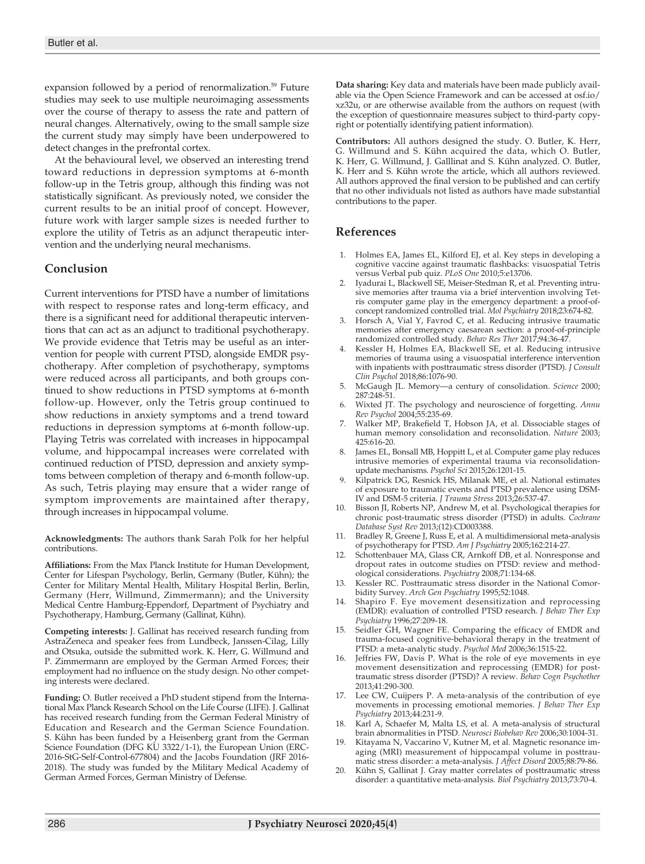expansion followed by a period of renormalization.<sup>59</sup> Future studies may seek to use multiple neuroimaging assessments over the course of therapy to assess the rate and pattern of neural changes. Alternatively, owing to the small sample size the current study may simply have been underpowered to detect changes in the prefrontal cortex.

At the behavioural level, we observed an interesting trend toward reductions in depression symptoms at 6-month follow-up in the Tetris group, although this finding was not statistically significant. As previously noted, we consider the current results to be an initial proof of concept. However, future work with larger sample sizes is needed further to explore the utility of Tetris as an adjunct therapeutic intervention and the underlying neural mechanisms.

#### **Conclusion**

Current interventions for PTSD have a number of limitations with respect to response rates and long-term efficacy, and there is a significant need for additional therapeutic interventions that can act as an adjunct to traditional psychotherapy. We provide evidence that Tetris may be useful as an intervention for people with current PTSD, alongside EMDR psychotherapy. After completion of psychotherapy, symptoms were reduced across all participants, and both groups continued to show reductions in PTSD symptoms at 6-month follow-up. However, only the Tetris group continued to show reductions in anxiety symptoms and a trend toward reductions in depression symptoms at 6-month follow-up. Playing Tetris was correlated with increases in hippocampal volume, and hippocampal increases were correlated with continued reduction of PTSD, depression and anxiety symptoms between completion of therapy and 6-month follow-up. As such, Tetris playing may ensure that a wider range of symptom improvements are maintained after therapy, through increases in hippocampal volume.

**Acknowledgments:** The authors thank Sarah Polk for her helpful contributions.

**Affiliations:** From the Max Planck Institute for Human Development, Center for Lifespan Psychology, Berlin, Germany (Butler, Kühn); the Center for Military Mental Health, Military Hospital Berlin, Berlin, Germany (Herr, Willmund, Zimmermann); and the University Medical Centre Hamburg-Eppendorf, Department of Psychiatry and Psychotherapy, Hamburg, Germany (Gallinat, Kühn).

**Competing interests:** J. Gallinat has received research funding from AstraZeneca and speaker fees from Lundbeck, Janssen-Cilag, Lilly and Otsuka, outside the submitted work. K. Herr, G. Willmund and P. Zimmermann are employed by the German Armed Forces; their employment had no influence on the study design. No other competing interests were declared.

**Funding:** O. Butler received a PhD student stipend from the International Max Planck Research School on the Life Course (LIFE). J. Gallinat has received research funding from the German Federal Ministry of Education and Research and the German Science Foundation. S. Kühn has been funded by a Heisenberg grant from the German Science Foundation (DFG KU 3322/1-1), the European Union (ERC-2016-StG-Self-Control-677804) and the Jacobs Foundation (JRF 2016- 2018). The study was funded by the Military Medical Academy of German Armed Forces, German Ministry of Defense.

**Data sharing:** Key data and materials have been made publicly available via the Open Science Framework and can be accessed at osf.io/ xz32u, or are otherwise available from the authors on request (with the exception of questionnaire measures subject to third-party copyright or potentially identifying patient information).

**Contributors:** All authors designed the study. O. Butler, K. Herr, G. Willmund and S. Kühn acquired the data, which O. Butler, K. Herr, G. Willmund, J. Galllinat and S. Kühn analyzed. O. Butler, K. Herr and S. Kühn wrote the article, which all authors reviewed. All authors approved the final version to be published and can certify that no other individuals not listed as authors have made substantial contributions to the paper.

#### **References**

- 1. Holmes EA, James EL, Kilford EJ, et al. Key steps in developing a cognitive vaccine against traumatic flashbacks: visuospatial Tetris versus Verbal pub quiz. *PLoS One* 2010;5:e13706.
- 2. Iyadurai L, Blackwell SE, Meiser-Stedman R, et al. Preventing intrusive memories after trauma via a brief intervention involving Tetris computer game play in the emergency department: a proof-ofconcept randomized controlled trial. *Mol Psychiatry* 2018;23:674-82.
- Horsch A, Vial Y, Favrod C, et al. Reducing intrusive traumatic memories after emergency caesarean section: a proof-of-principle randomized controlled study. *Behav Res Ther* 2017;94:36-47.
- 4. Kessler H, Holmes EA, Blackwell SE, et al. Reducing intrusive memories of trauma using a visuospatial interference intervention with inpatients with posttraumatic stress disorder (PTSD). *J Consult Clin Psychol* 2018;86:1076-90.
- 5. McGaugh JL. Memory—a century of consolidation. *Science* 2000; 287:248-51.
- 6. Wixted JT. The psychology and neuroscience of forgetting. *Annu Rev Psychol* 2004;55:235-69.
- 7. Walker MP, Brakefield T, Hobson JA, et al. Dissociable stages of human memory consolidation and reconsolidation. *Nature* 2003; 425:616-20.
- 8. James EL, Bonsall MB, Hoppitt L, et al. Computer game play reduces intrusive memories of experimental trauma via reconsolidationupdate mechanisms. *Psychol Sci* 2015;26:1201-15.
- 9. Kilpatrick DG, Resnick HS, Milanak ME, et al. National estimates of exposure to traumatic events and PTSD prevalence using DSM-IV and DSM-5 criteria. *J Trauma Stress* 2013;26:537-47.
- 10. Bisson JI, Roberts NP, Andrew M, et al. Psychological therapies for chronic post-traumatic stress disorder (PTSD) in adults. *Cochrane Database Syst Rev* 2013;(12):CD003388.
- 11. Bradley R, Greene J, Russ E, et al. A multidimensional meta-analysis of psychotherapy for PTSD. *Am J Psychiatry* 2005;162:214-27.
- 12. Schottenbauer MA, Glass CR, Arnkoff DB, et al. Nonresponse and dropout rates in outcome studies on PTSD: review and methodological considerations. *Psychiatry* 2008;71:134-68.
- 13. Kessler RC. Posttraumatic stress disorder in the National Comorbidity Survey. *Arch Gen Psychiatry* 1995;52:1048.
- 14. Shapiro F. Eye movement desensitization and reprocessing (EMDR): evaluation of controlled PTSD research. *J Behav Ther Exp Psychiatry* 1996;27:209-18.
- Seidler GH, Wagner FE. Comparing the efficacy of EMDR and trauma-focused cognitive-behavioral therapy in the treatment of PTSD: a meta-analytic study. *Psychol Med* 2006;36:1515-22.
- 16. Jeffries FW, Davis P. What is the role of eye movements in eye movement desensitization and reprocessing (EMDR) for posttraumatic stress disorder (PTSD)? A review. *Behav Cogn Psychother* 2013;41:290-300.
- 17. Lee CW, Cuijpers P. A meta-analysis of the contribution of eye movements in processing emotional memories. *J Behav Ther Exp Psychiatry* 2013;44:231-9.
- 18. Karl A, Schaefer M, Malta LS, et al. A meta-analysis of structural brain abnormalities in PTSD. *Neurosci Biobehav Rev* 2006;30:1004-31.
- 19. Kitayama N, Vaccarino V, Kutner M, et al. Magnetic resonance imaging (MRI) measurement of hippocampal volume in posttraumatic stress disorder: a meta-analysis. *J Affect Disord* 2005;88:79-86.
- 20. Kühn S, Gallinat J. Gray matter correlates of posttraumatic stress disorder: a quantitative meta-analysis. *Biol Psychiatry* 2013;73:70-4.